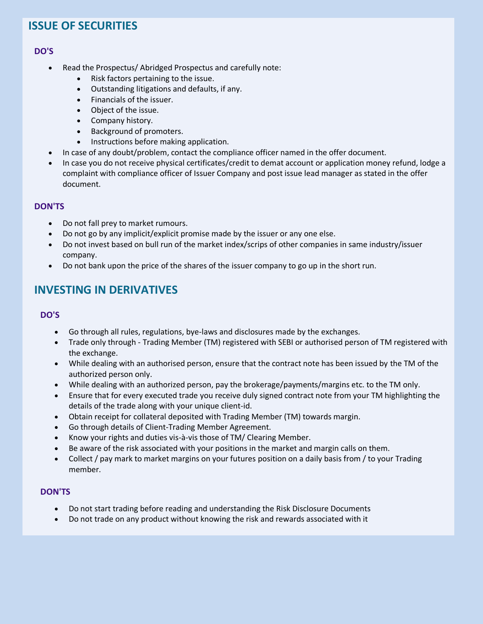## **ISSUE OF SECURITIES**

### **DO'S**

- Read the Prospectus/ Abridged Prospectus and carefully note:
	- Risk factors pertaining to the issue.
	- Outstanding litigations and defaults, if any.
	- Financials of the issuer.
	- Object of the issue.
	- Company history.
	- Background of promoters.
	- Instructions before making application.
- In case of any doubt/problem, contact the compliance officer named in the offer document.
- In case you do not receive physical certificates/credit to demat account or application money refund, lodge a complaint with compliance officer of Issuer Company and post issue lead manager as stated in the offer document.

### **DON'TS**

- Do not fall prey to market rumours.
- Do not go by any implicit/explicit promise made by the issuer or any one else.
- Do not invest based on bull run of the market index/scrips of other companies in same industry/issuer company.
- Do not bank upon the price of the shares of the issuer company to go up in the short run.

## **INVESTING IN DERIVATIVES**

### **DO'S**

- Go through all rules, regulations, bye-laws and disclosures made by the exchanges.
- Trade only through Trading Member (TM) registered with SEBI or authorised person of TM registered with the exchange.
- While dealing with an authorised person, ensure that the contract note has been issued by the TM of the authorized person only.
- While dealing with an authorized person, pay the brokerage/payments/margins etc. to the TM only.
- Ensure that for every executed trade you receive duly signed contract note from your TM highlighting the details of the trade along with your unique client-id.
- Obtain receipt for collateral deposited with Trading Member (TM) towards margin.
- Go through details of Client-Trading Member Agreement.
- Know your rights and duties vis-à-vis those of TM/ Clearing Member.
- Be aware of the risk associated with your positions in the market and margin calls on them.
- Collect / pay mark to market margins on your futures position on a daily basis from / to your Trading member.

### **DON'TS**

- Do not start trading before reading and understanding the Risk Disclosure Documents
- Do not trade on any product without knowing the risk and rewards associated with it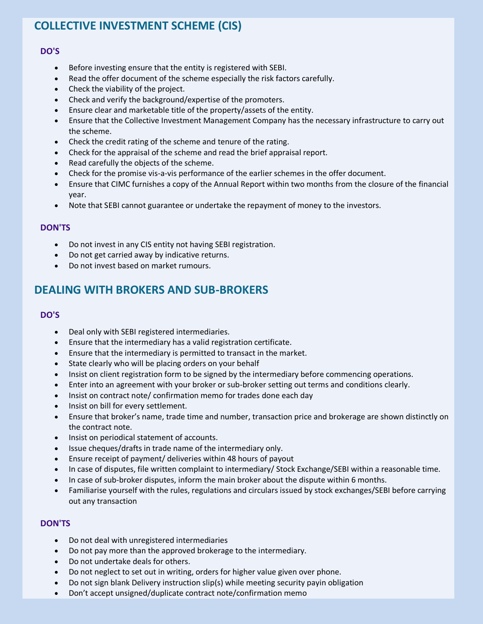# **COLLECTIVE INVESTMENT SCHEME (CIS)**

#### **DO'S**

- Before investing ensure that the entity is registered with SEBI.
- Read the offer document of the scheme especially the risk factors carefully.
- Check the viability of the project.
- Check and verify the background/expertise of the promoters.
- Ensure clear and marketable title of the property/assets of the entity.
- Ensure that the Collective Investment Management Company has the necessary infrastructure to carry out the scheme.
- Check the credit rating of the scheme and tenure of the rating.
- Check for the appraisal of the scheme and read the brief appraisal report.
- Read carefully the objects of the scheme.
- Check for the promise vis-a-vis performance of the earlier schemes in the offer document.
- Ensure that CIMC furnishes a copy of the Annual Report within two months from the closure of the financial year.
- Note that SEBI cannot guarantee or undertake the repayment of money to the investors.

#### **DON'TS**

- Do not invest in any CIS entity not having SEBI registration.
- Do not get carried away by indicative returns.
- Do not invest based on market rumours.

## **DEALING WITH BROKERS AND SUB-BROKERS**

#### **DO'S**

- Deal only with SEBI registered intermediaries.
- Ensure that the intermediary has a valid registration certificate.
- Ensure that the intermediary is permitted to transact in the market.
- State clearly who will be placing orders on your behalf
- Insist on client registration form to be signed by the intermediary before commencing operations.
- Enter into an agreement with your broker or sub-broker setting out terms and conditions clearly.
- Insist on contract note/ confirmation memo for trades done each day
- Insist on bill for every settlement.
- Ensure that broker's name, trade time and number, transaction price and brokerage are shown distinctly on the contract note.
- Insist on periodical statement of accounts.
- Issue cheques/drafts in trade name of the intermediary only.
- Ensure receipt of payment/ deliveries within 48 hours of payout
- In case of disputes, file written complaint to intermediary/ Stock Exchange/SEBI within a reasonable time.
- In case of sub-broker disputes, inform the main broker about the dispute within 6 months.
- Familiarise yourself with the rules, regulations and circulars issued by stock exchanges/SEBI before carrying out any transaction

#### **DON'TS**

- Do not deal with unregistered intermediaries
- Do not pay more than the approved brokerage to the intermediary.
- Do not undertake deals for others.
- Do not neglect to set out in writing, orders for higher value given over phone.
- Do not sign blank Delivery instruction slip(s) while meeting security payin obligation
- Don't accept unsigned/duplicate contract note/confirmation memo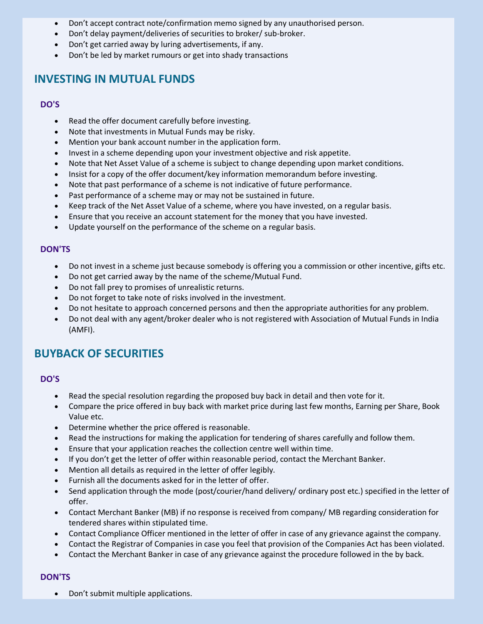- Don't accept contract note/confirmation memo signed by any unauthorised person.
- Don't delay payment/deliveries of securities to broker/ sub-broker.
- Don't get carried away by luring advertisements, if any.
- Don't be led by market rumours or get into shady transactions

## **INVESTING IN MUTUAL FUNDS**

### **DO'S**

- Read the offer document carefully before investing.
- Note that investments in Mutual Funds may be risky.
- Mention your bank account number in the application form.
- Invest in a scheme depending upon your investment objective and risk appetite.
- Note that Net Asset Value of a scheme is subject to change depending upon market conditions.
- Insist for a copy of the offer document/key information memorandum before investing.
- Note that past performance of a scheme is not indicative of future performance.
- Past performance of a scheme may or may not be sustained in future.
- Keep track of the Net Asset Value of a scheme, where you have invested, on a regular basis.
- Ensure that you receive an account statement for the money that you have invested.
- Update yourself on the performance of the scheme on a regular basis.

#### **DON'TS**

- Do not invest in a scheme just because somebody is offering you a commission or other incentive, gifts etc.
- Do not get carried away by the name of the scheme/Mutual Fund.
- Do not fall prey to promises of unrealistic returns.
- Do not forget to take note of risks involved in the investment.
- Do not hesitate to approach concerned persons and then the appropriate authorities for any problem.
- Do not deal with any agent/broker dealer who is not registered with Association of Mutual Funds in India (AMFI).

## **BUYBACK OF SECURITIES**

#### **DO'S**

- Read the special resolution regarding the proposed buy back in detail and then vote for it.
- Compare the price offered in buy back with market price during last few months, Earning per Share, Book Value etc.
- Determine whether the price offered is reasonable.
- Read the instructions for making the application for tendering of shares carefully and follow them.
- Ensure that your application reaches the collection centre well within time.
- If you don't get the letter of offer within reasonable period, contact the Merchant Banker.
- Mention all details as required in the letter of offer legibly.
- Furnish all the documents asked for in the letter of offer.
- Send application through the mode (post/courier/hand delivery/ ordinary post etc.) specified in the letter of offer.
- Contact Merchant Banker (MB) if no response is received from company/ MB regarding consideration for tendered shares within stipulated time.
- Contact Compliance Officer mentioned in the letter of offer in case of any grievance against the company.
- Contact the Registrar of Companies in case you feel that provision of the Companies Act has been violated.
- Contact the Merchant Banker in case of any grievance against the procedure followed in the by back.

### **DON'TS**

• Don't submit multiple applications.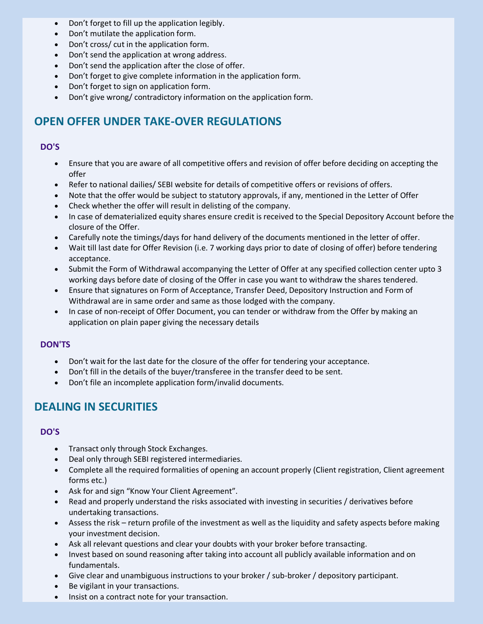- Don't forget to fill up the application legibly.
- Don't mutilate the application form.
- Don't cross/ cut in the application form.
- Don't send the application at wrong address.
- Don't send the application after the close of offer.
- Don't forget to give complete information in the application form.
- Don't forget to sign on application form.
- Don't give wrong/ contradictory information on the application form.

## **OPEN OFFER UNDER TAKE-OVER REGULATIONS**

### **DO'S**

- Ensure that you are aware of all competitive offers and revision of offer before deciding on accepting the offer
- Refer to national dailies/ SEBI website for details of competitive offers or revisions of offers.
- Note that the offer would be subject to statutory approvals, if any, mentioned in the Letter of Offer
- Check whether the offer will result in delisting of the company.
- In case of dematerialized equity shares ensure credit is received to the Special Depository Account before the closure of the Offer.
- Carefully note the timings/days for hand delivery of the documents mentioned in the letter of offer.
- Wait till last date for Offer Revision (i.e. 7 working days prior to date of closing of offer) before tendering acceptance.
- Submit the Form of Withdrawal accompanying the Letter of Offer at any specified collection center upto 3 working days before date of closing of the Offer in case you want to withdraw the shares tendered.
- Ensure that signatures on Form of Acceptance, Transfer Deed, Depository Instruction and Form of Withdrawal are in same order and same as those lodged with the company.
- In case of non-receipt of Offer Document, you can tender or withdraw from the Offer by making an application on plain paper giving the necessary details

### **DON'TS**

- Don't wait for the last date for the closure of the offer for tendering your acceptance.
- Don't fill in the details of the buyer/transferee in the transfer deed to be sent.
- Don't file an incomplete application form/invalid documents.

## **DEALING IN SECURITIES**

### **DO'S**

- Transact only through Stock Exchanges.
- Deal only through SEBI registered intermediaries.
- Complete all the required formalities of opening an account properly (Client registration, Client agreement forms etc.)
- Ask for and sign "Know Your Client Agreement".
- Read and properly understand the risks associated with investing in securities / derivatives before undertaking transactions.
- Assess the risk return profile of the investment as well as the liquidity and safety aspects before making your investment decision.
- Ask all relevant questions and clear your doubts with your broker before transacting.
- Invest based on sound reasoning after taking into account all publicly available information and on fundamentals.
- Give clear and unambiguous instructions to your broker / sub-broker / depository participant.
- Be vigilant in your transactions.
- Insist on a contract note for your transaction.